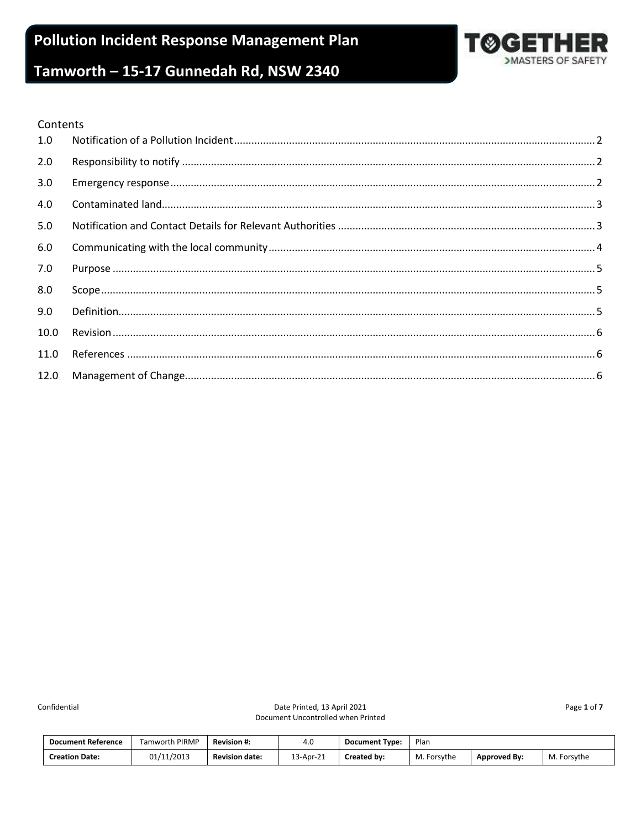

#### Contents

| 1.0  |  |
|------|--|
| 2.0  |  |
| 3.0  |  |
| 4.0  |  |
| 5.0  |  |
| 6.0  |  |
| 7.0  |  |
| 8.0  |  |
| 9.0  |  |
| 10.0 |  |
| 11.0 |  |
| 12.0 |  |

Confidential

Page 1 of 7

| <b>Document Reference</b> | <b>Tamworth PIRMP</b> | <b>Revision #:</b>    | 4.0       | <b>Document Type:</b> | Plan        |                     |             |
|---------------------------|-----------------------|-----------------------|-----------|-----------------------|-------------|---------------------|-------------|
| <b>Creation Date:</b>     | 01/11/2013            | <b>Revision date:</b> | 13-Apr-21 | <b>Created by:</b>    | M. Forsythe | <b>Approved By:</b> | M. Forsythe |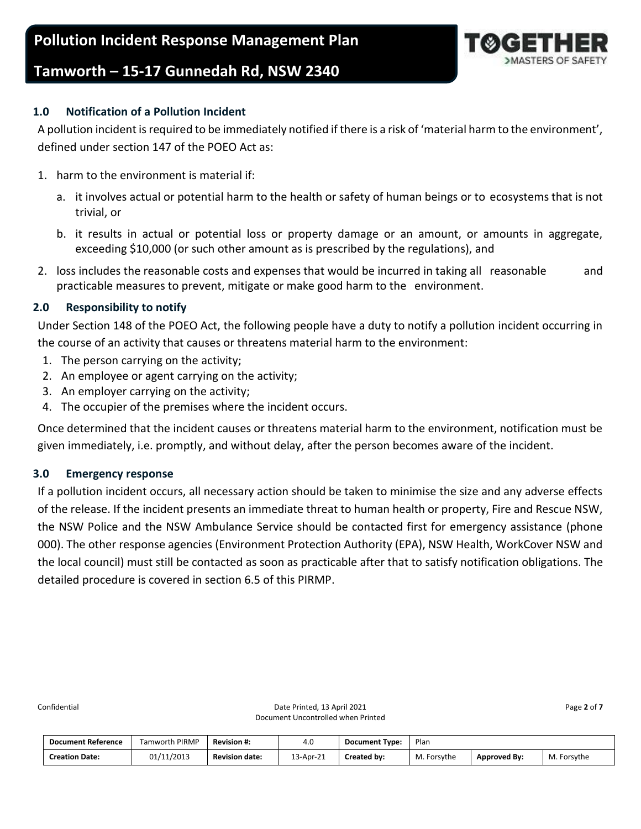

### <span id="page-1-0"></span>**1.0 Notification of a Pollution Incident**

A pollution incident is required to be immediately notified if there is a risk of 'material harm to the environment', defined under section 147 of the POEO Act as:

- 1. harm to the environment is material if:
	- a. it involves actual or potential harm to the health or safety of human beings or to ecosystems that is not trivial, or
	- b. it results in actual or potential loss or property damage or an amount, or amounts in aggregate, exceeding \$10,000 (or such other amount as is prescribed by the regulations), and
- 2. loss includes the reasonable costs and expenses that would be incurred in taking all reasonable and practicable measures to prevent, mitigate or make good harm to the environment.

### <span id="page-1-1"></span>**2.0 Responsibility to notify**

Under Section 148 of the POEO Act, the following people have a duty to notify a pollution incident occurring in the course of an activity that causes or threatens material harm to the environment:

- 1. The person carrying on the activity;
- 2. An employee or agent carrying on the activity;
- 3. An employer carrying on the activity;
- 4. The occupier of the premises where the incident occurs.

Once determined that the incident causes or threatens material harm to the environment, notification must be given immediately, i.e. promptly, and without delay, after the person becomes aware of the incident.

#### <span id="page-1-2"></span>**3.0 Emergency response**

If a pollution incident occurs, all necessary action should be taken to minimise the size and any adverse effects of the release. If the incident presents an immediate threat to human health or property, Fire and Rescue NSW, the NSW Police and the NSW Ambulance Service should be contacted first for emergency assistance (phone 000). The other response agencies (Environment Protection Authority (EPA), NSW Health, WorkCover NSW and the local council) must still be contacted as soon as practicable after that to satisfy notification obligations. The detailed procedure is covered in section 6.5 of this PIRMP.

| <b>Document Reference</b> | i PIRMP<br>Tamworth, | <b>Revision #:</b>    | 4.0       | <b>Document Type:</b> | Plan        |                     |                  |
|---------------------------|----------------------|-----------------------|-----------|-----------------------|-------------|---------------------|------------------|
| <b>Creation Date:</b>     | 01/11/2013           | <b>Revision date:</b> | 13-Apr-21 | Created by:           | M. Forsythe | <b>Approved By:</b> | М.<br>. Forsvthe |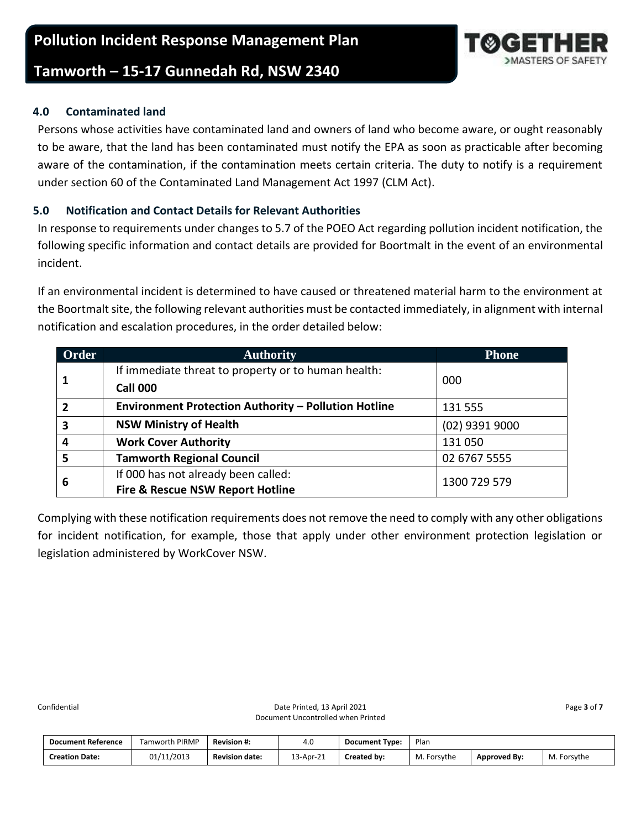#### <span id="page-2-0"></span>**4.0 Contaminated land**

Persons whose activities have contaminated land and owners of land who become aware, or ought reasonably to be aware, that the land has been contaminated must notify the EPA as soon as practicable after becoming aware of the contamination, if the contamination meets certain criteria. The duty to notify is a requirement under section 60 of the Contaminated Land Management Act 1997 (CLM Act).

### <span id="page-2-1"></span>**5.0 Notification and Contact Details for Relevant Authorities**

In response to requirements under changes to 5.7 of the POEO Act regarding pollution incident notification, the following specific information and contact details are provided for Boortmalt in the event of an environmental incident.

If an environmental incident is determined to have caused or threatened material harm to the environment at the Boortmalt site, the following relevant authorities must be contacted immediately, in alignment with internal notification and escalation procedures, in the order detailed below:

| Order                   | <b>Authority</b>                                            | <b>Phone</b>   |
|-------------------------|-------------------------------------------------------------|----------------|
|                         | If immediate threat to property or to human health:         |                |
|                         | <b>Call 000</b>                                             | 000            |
| $\overline{2}$          | <b>Environment Protection Authority - Pollution Hotline</b> | 131 555        |
| $\overline{\mathbf{3}}$ | <b>NSW Ministry of Health</b>                               | (02) 9391 9000 |
| $\overline{a}$          | <b>Work Cover Authority</b>                                 | 131050         |
| 5                       | <b>Tamworth Regional Council</b>                            | 02 6767 5555   |
|                         | If 000 has not already been called:                         | 1300 729 579   |
| 6                       | <b>Fire &amp; Rescue NSW Report Hotline</b>                 |                |

Complying with these notification requirements does not remove the need to comply with any other obligations for incident notification, for example, those that apply under other environment protection legislation or legislation administered by WorkCover NSW.

| <b>Document Reference</b> | <b>Tamworth PIRMP</b> | Revision #:           | 4.0       | <b>Document Type:</b> | Plan            |                     |                |
|---------------------------|-----------------------|-----------------------|-----------|-----------------------|-----------------|---------------------|----------------|
| <b>Creation Date:</b>     | 01/11/2013            | <b>Revision date:</b> | 13-Apr-21 | Created by:           | M.F<br>Forsythe | <b>Approved By:</b> | М.<br>Forsythe |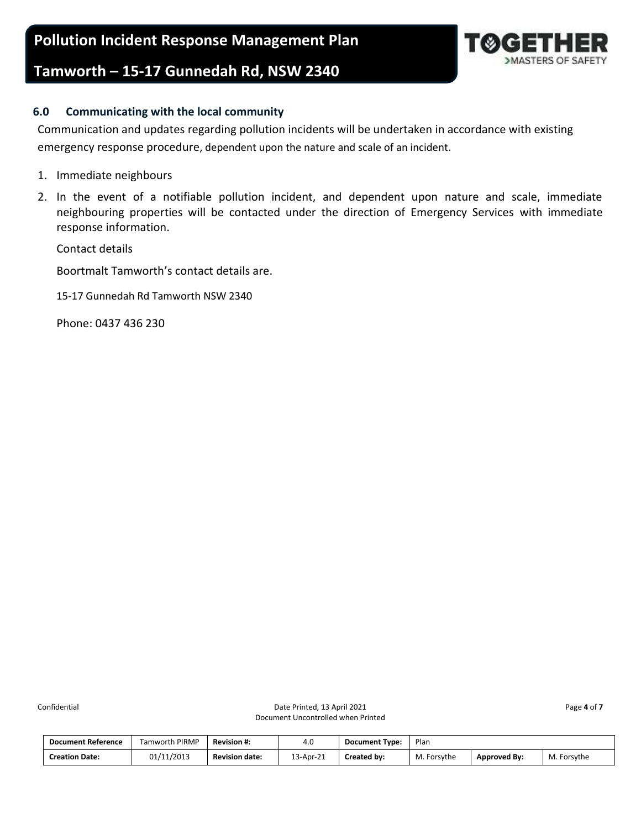#### <span id="page-3-0"></span>**6.0 Communicating with the local community**

Communication and updates regarding pollution incidents will be undertaken in accordance with existing emergency response procedure, dependent upon the nature and scale of an incident.

- 1. Immediate neighbours
- 2. In the event of a notifiable pollution incident, and dependent upon nature and scale, immediate neighbouring properties will be contacted under the direction of Emergency Services with immediate response information.

Contact details

Boortmalt Tamworth's contact details are.

15-17 Gunnedah Rd Tamworth NSW 2340

Phone: 0437 436 230

| <b>Document Reference</b> | <b>Famworth PIRMP</b> | <b>Revision #:</b>    | 4.0       | <b>Document Type:</b> | Plan            |                     |                |
|---------------------------|-----------------------|-----------------------|-----------|-----------------------|-----------------|---------------------|----------------|
| <b>Creation Date:</b>     | /11/2013<br>01.<br>୰୷ | <b>Revision date:</b> | 13-Apr-21 | Created by:           | M.F<br>Forsythe | <b>Approved By:</b> | M.<br>Forsythe |

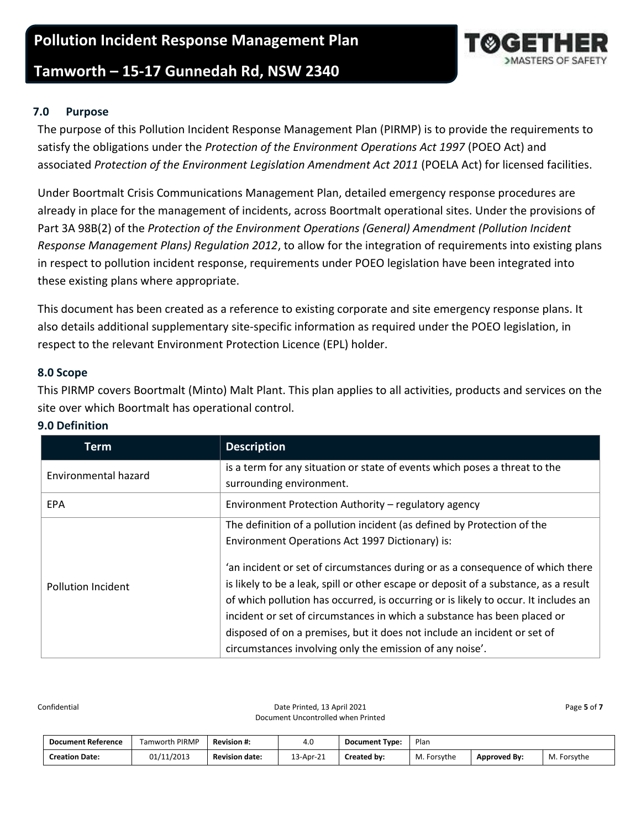# **Pollution Incident Response Management Plan**

### **Tamworth – 15-17 Gunnedah Rd, NSW 2340**

### <span id="page-4-0"></span>**7.0 Purpose**

The purpose of this Pollution Incident Response Management Plan (PIRMP) is to provide the requirements to satisfy the obligations under the *Protection of the Environment Operations Act 1997* (POEO Act) and associated *Protection of the Environment Legislation Amendment Act 2011* (POELA Act) for licensed facilities.

Under Boortmalt Crisis Communications Management Plan, detailed emergency response procedures are already in place for the management of incidents, across Boortmalt operational sites. Under the provisions of Part 3A 98B(2) of the *Protection of the Environment Operations (General) Amendment (Pollution Incident Response Management Plans) Regulation 2012*, to allow for the integration of requirements into existing plans in respect to pollution incident response, requirements under POEO legislation have been integrated into these existing plans where appropriate.

This document has been created as a reference to existing corporate and site emergency response plans. It also details additional supplementary site-specific information as required under the POEO legislation, in respect to the relevant Environment Protection Licence (EPL) holder.

#### <span id="page-4-1"></span>**8.0 Scope**

This PIRMP covers Boortmalt (Minto) Malt Plant. This plan applies to all activities, products and services on the site over which Boortmalt has operational control.

| Term                      | <b>Description</b>                                                                                                                                                                                                                                                                                                                                                                                                                                                                |
|---------------------------|-----------------------------------------------------------------------------------------------------------------------------------------------------------------------------------------------------------------------------------------------------------------------------------------------------------------------------------------------------------------------------------------------------------------------------------------------------------------------------------|
| Environmental hazard      | is a term for any situation or state of events which poses a threat to the<br>surrounding environment.                                                                                                                                                                                                                                                                                                                                                                            |
| <b>EPA</b>                | Environment Protection Authority - regulatory agency                                                                                                                                                                                                                                                                                                                                                                                                                              |
|                           | The definition of a pollution incident (as defined by Protection of the<br>Environment Operations Act 1997 Dictionary) is:                                                                                                                                                                                                                                                                                                                                                        |
| <b>Pollution Incident</b> | 'an incident or set of circumstances during or as a consequence of which there<br>is likely to be a leak, spill or other escape or deposit of a substance, as a result<br>of which pollution has occurred, is occurring or is likely to occur. It includes an<br>incident or set of circumstances in which a substance has been placed or<br>disposed of on a premises, but it does not include an incident or set of<br>circumstances involving only the emission of any noise'. |

#### <span id="page-4-2"></span>**9.0 Definition**

| <b>Document Reference</b> | Tamworth PIRMP | <b>Revision #:</b>    | 4.0       | <b>Document Type:</b> | Plan        |                     |             |
|---------------------------|----------------|-----------------------|-----------|-----------------------|-------------|---------------------|-------------|
| <b>Creation Date:</b>     | 01/11/2013     | <b>Revision date:</b> | 13-Apr-21 | Created by:           | M. Forsythe | <b>Approved By:</b> | M. Forsythe |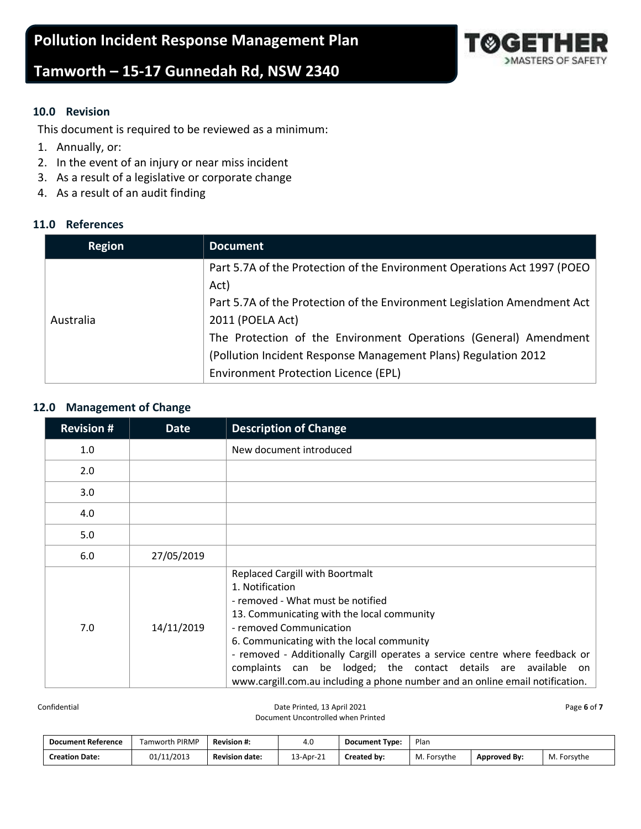

#### <span id="page-5-0"></span>**10.0 Revision**

This document is required to be reviewed as a minimum:

- 1. Annually, or:
- 2. In the event of an injury or near miss incident
- 3. As a result of a legislative or corporate change
- 4. As a result of an audit finding

#### <span id="page-5-1"></span>**11.0 References**

| <b>Region</b> | <b>Document</b>                                                          |
|---------------|--------------------------------------------------------------------------|
|               | Part 5.7A of the Protection of the Environment Operations Act 1997 (POEO |
|               | Act)                                                                     |
|               | Part 5.7A of the Protection of the Environment Legislation Amendment Act |
| Australia     | 2011 (POELA Act)                                                         |
|               | The Protection of the Environment Operations (General) Amendment         |
|               | (Pollution Incident Response Management Plans) Regulation 2012           |
|               | Environment Protection Licence (EPL)                                     |

#### <span id="page-5-2"></span>**12.0 Management of Change**

| <b>Revision #</b> | <b>Date</b> | <b>Description of Change</b>                                                                                                                                                                                                                                                                                                                                                                                                                            |
|-------------------|-------------|---------------------------------------------------------------------------------------------------------------------------------------------------------------------------------------------------------------------------------------------------------------------------------------------------------------------------------------------------------------------------------------------------------------------------------------------------------|
| 1.0               |             | New document introduced                                                                                                                                                                                                                                                                                                                                                                                                                                 |
| 2.0               |             |                                                                                                                                                                                                                                                                                                                                                                                                                                                         |
| 3.0               |             |                                                                                                                                                                                                                                                                                                                                                                                                                                                         |
| 4.0               |             |                                                                                                                                                                                                                                                                                                                                                                                                                                                         |
| 5.0               |             |                                                                                                                                                                                                                                                                                                                                                                                                                                                         |
| 6.0               | 27/05/2019  |                                                                                                                                                                                                                                                                                                                                                                                                                                                         |
| 7.0               | 14/11/2019  | <b>Replaced Cargill with Boortmalt</b><br>1. Notification<br>- removed - What must be notified<br>13. Communicating with the local community<br>- removed Communication<br>6. Communicating with the local community<br>- removed - Additionally Cargill operates a service centre where feedback or<br>complaints can be lodged; the contact details are available on<br>www.cargill.com.au including a phone number and an online email notification. |

Confidential Page 6 of **7** Date Printed, 13 April 2021 **Page 6** of **7** Date Printed, 13 April 2021 Document Uncontrolled when Printed

| <b>Document Reference</b> | <b>Famworth PIRMP</b> | <b>Revision #:</b>    | 4.U       | <b>Document Type:</b> | Plan        |                     |             |
|---------------------------|-----------------------|-----------------------|-----------|-----------------------|-------------|---------------------|-------------|
| <b>Creation Date:</b>     | /11/2013<br>01,       | <b>Revision date:</b> | 13-Apr-21 | <b>Created by:</b>    | M. Forsythe | <b>Approved By:</b> | M. Forsythe |